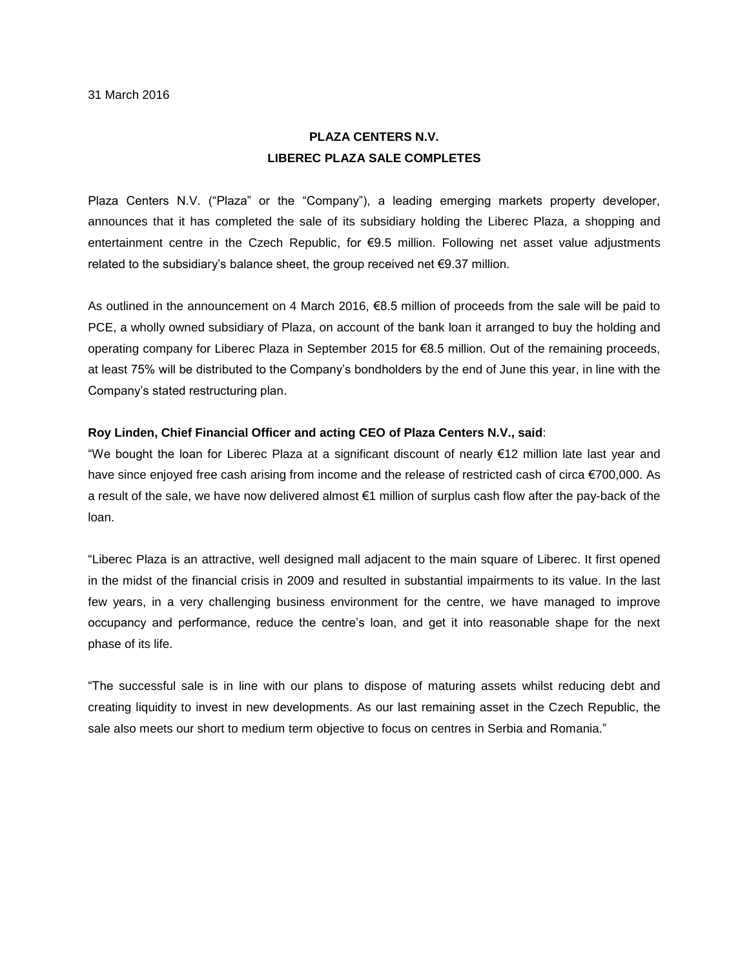## **PLAZA CENTERS N.V. LIBEREC PLAZA SALE COMPLETES**

Plaza Centers N.V. ("Plaza" or the "Company"), a leading emerging markets property developer, announces that it has completed the sale of its subsidiary holding the Liberec Plaza, a shopping and entertainment centre in the Czech Republic, for €9.5 million. Following net asset value adjustments related to the subsidiary's balance sheet, the group received net €9.37 million.

As outlined in the announcement on 4 March 2016, €8.5 million of proceeds from the sale will be paid to PCE, a wholly owned subsidiary of Plaza, on account of the bank loan it arranged to buy the holding and operating company for Liberec Plaza in September 2015 for €8.5 million. Out of the remaining proceeds, at least 75% will be distributed to the Company's bondholders by the end of June this year, in line with the Company's stated restructuring plan.

## **Roy Linden, Chief Financial Officer and acting CEO of Plaza Centers N.V., said**:

"We bought the loan for Liberec Plaza at a significant discount of nearly €12 million late last year and have since enjoyed free cash arising from income and the release of restricted cash of circa €700,000. As a result of the sale, we have now delivered almost €1 million of surplus cash flow after the pay-back of the loan.

"Liberec Plaza is an attractive, well designed mall adjacent to the main square of Liberec. It first opened in the midst of the financial crisis in 2009 and resulted in substantial impairments to its value. In the last few years, in a very challenging business environment for the centre, we have managed to improve occupancy and performance, reduce the centre's loan, and get it into reasonable shape for the next phase of its life.

"The successful sale is in line with our plans to dispose of maturing assets whilst reducing debt and creating liquidity to invest in new developments. As our last remaining asset in the Czech Republic, the sale also meets our short to medium term objective to focus on centres in Serbia and Romania."